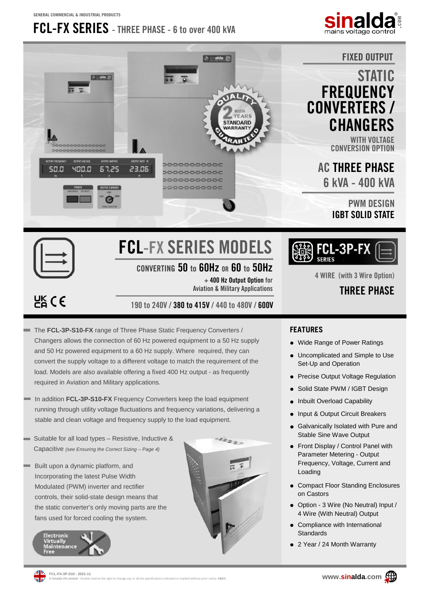**GENERAL COMMERCIAL & INDUSTRIAL PRODUCTS**

### **FCL-FX SERIES - THREE PHASE - 6 to over 400 kVA**





# **FCL-FX SERIES MODELS**

### **CONVERTING 50 to 60Hz OR 60 to 50Hz**

**+ 400 Hz Output Option for Aviation & Military Applications** 

 $E<sub>B</sub>$  CE

**190 to 240V / 380 to 415V / 440 to 480V / 600V**

- The **FCL-3P-S10-FX** range of Three Phase Static Frequency Converters / Changers allows the connection of 60 Hz powered equipment to a 50 Hz supply and 50 Hz powered equipment to a 60 Hz supply. Where required, they can convert the supply voltage to a different voltage to match the requirement of the load. Models are also available offering a fixed 400 Hz output - as frequently required in Aviation and Military applications.
- In addition **FCL-3P-S10-FX** Frequency Converters keep the load equipment running through utility voltage fluctuations and frequency variations, delivering a stable and clean voltage and frequency supply to the load equipment.
- Suitable for all load types Resistive, Inductive & Capacitive *(see Ensuring the Correct Sizing – Page 4)*
- Built upon a dynamic platform, and Incorporating the latest Pulse Width Modulated (PWM) inverter and rectifier controls, their solid-state design means that the static converter's only moving parts are the fans used for forced cooling the system.







**4 WIRE (with 3 Wire Option)** 

### **THREE PHASE**

### **FEATURES**

- Wide Range of Power Ratings
- Uncomplicated and Simple to Use Set-Up and Operation
- Precise Output Voltage Regulation
- Solid State PWM / IGBT Design
- Inbuilt Overload Capability
- Input & Output Circuit Breakers
- Galvanically Isolated with Pure and Stable Sine Wave Output
- Front Display / Control Panel with Parameter Metering - Output Frequency, Voltage, Current and Loading
- Compact Floor Standing Enclosures on Castors
- Option 3 Wire (No Neutral) Input / 4 Wire (With Neutral) Output
- Compliance with International **Standards**
- 2 Year / 24 Month Warranty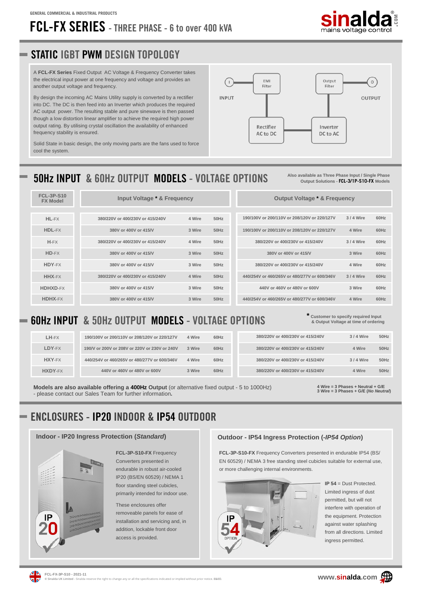# **FCL-FX SERIES - THREE PHASE - 6 to over 400 kVA**



### **STATIC IGBT PWM DESIGN TOPOLOGY**

A **FCL-FX Series** Fixed Output AC Voltage & Frequency Converter takes the electrical input power at one frequency and voltage and provides an another output voltage and frequency.

By design the incoming AC Mains Utility supply is converted by a rectifier into DC. The DC is then feed into an Inverter which produces the required AC output power. The resulting stable and pure sinewave is then passed though a low distortion linear amplifier to achieve the required high power output rating. By utilising crystal oscillation the availability of enhanced frequency stability is ensured.

Solid State in basic design, the only moving parts are the fans used to force cool the system.



### **50Hz INPUT & 60Hz OUTPUT MODELS - VOLTAGE OPTIONS**

**Also available as Three Phase Input / Single Phase Output Solutions - FCL-3/1P-S10-FX Models**

| <b>FCL-3P-S10</b><br>Input Voltage * & Frequency<br><b>Output Voltage * &amp; Frequency</b><br><b>FX Model</b><br>190/100V or 200/110V or 208/120V or 220/127V<br>HL-FX<br>50Hz<br>380/220V or 400/230V or 415/240V<br>4 Wire<br>HDL-FX<br>380V or 400V or 415/V<br>3 Wire<br>$50$ Hz<br>190/100V or 200/110V or 208/120V or 220/127V<br>$H-FX$<br>4 Wire<br>$50$ Hz<br>380/220V or 400/230V or 415/240V<br>380/220V or 400/230V or 415/240V<br>HD-FX<br>$50$ Hz<br>380V or 400V or 415/V<br>3 Wire<br>380V or 400V or 415/V<br>HDY-FX<br>$50$ Hz<br>380V or 400V or 415/V<br>3 Wire<br>380/220V or 400/230V or 415/240V<br>HHX-FX<br>380/220V or 400/230V or 415/240V<br>4 Wire<br>50Hz<br>440/254V or 460/265V or 480/277V or 600/346V<br><b>HDHXD-FX</b><br>$50$ Hz<br>380V or 400V or 415/V<br>3 Wire<br>440V or 460V or 480V or 600V<br>HDHX-FX<br>380V or 400V or 415/V<br>50Hz<br>3 Wire<br>440/254V or 460/265V or 480/277V or 600/346V |  |  |  |  |
|-------------------------------------------------------------------------------------------------------------------------------------------------------------------------------------------------------------------------------------------------------------------------------------------------------------------------------------------------------------------------------------------------------------------------------------------------------------------------------------------------------------------------------------------------------------------------------------------------------------------------------------------------------------------------------------------------------------------------------------------------------------------------------------------------------------------------------------------------------------------------------------------------------------------------------------------------|--|--|--|--|
| 3/4 Wire<br>4 Wire<br>3 Wire<br>4 Wire<br>3 Wire<br>4 Wire                                                                                                                                                                                                                                                                                                                                                                                                                                                                                                                                                                                                                                                                                                                                                                                                                                                                                      |  |  |  |  |
| 3/4 Wire<br>3/4 Wire                                                                                                                                                                                                                                                                                                                                                                                                                                                                                                                                                                                                                                                                                                                                                                                                                                                                                                                            |  |  |  |  |
|                                                                                                                                                                                                                                                                                                                                                                                                                                                                                                                                                                                                                                                                                                                                                                                                                                                                                                                                                 |  |  |  |  |
|                                                                                                                                                                                                                                                                                                                                                                                                                                                                                                                                                                                                                                                                                                                                                                                                                                                                                                                                                 |  |  |  |  |
|                                                                                                                                                                                                                                                                                                                                                                                                                                                                                                                                                                                                                                                                                                                                                                                                                                                                                                                                                 |  |  |  |  |
|                                                                                                                                                                                                                                                                                                                                                                                                                                                                                                                                                                                                                                                                                                                                                                                                                                                                                                                                                 |  |  |  |  |
|                                                                                                                                                                                                                                                                                                                                                                                                                                                                                                                                                                                                                                                                                                                                                                                                                                                                                                                                                 |  |  |  |  |
|                                                                                                                                                                                                                                                                                                                                                                                                                                                                                                                                                                                                                                                                                                                                                                                                                                                                                                                                                 |  |  |  |  |
|                                                                                                                                                                                                                                                                                                                                                                                                                                                                                                                                                                                                                                                                                                                                                                                                                                                                                                                                                 |  |  |  |  |
|                                                                                                                                                                                                                                                                                                                                                                                                                                                                                                                                                                                                                                                                                                                                                                                                                                                                                                                                                 |  |  |  |  |

### **60Hz INPUT & 50Hz OUTPUT MODELS - VOLTAGE OPTIONS**

| LH-FX   | 190/100V or 200/110V or 208/120V or 220/127V  | 4 Wire | 60Hz | 380/220V or 400/230V or 415/240V<br>3/4 Wire | 50Hz |
|---------|-----------------------------------------------|--------|------|----------------------------------------------|------|
| LDY-FX  | 190/V or 200V or 208V or 220V or 230V or 240V | 3 Wire | 60Hz | 4 Wire<br>380/220V or 400/230V or 415/240V   | 50Hz |
| HXY-FX  | 440/254V or 460/265V or 480/277V or 600/346V  | 4 Wire | 60Hz | 3/4 Wire<br>380/220V or 400/230V or 415/240V | 50Hz |
| HXDY-FX | 440V or 460V or 480V or 600V                  | 3 Wire | 60Hz | 4 Wire<br>380/220V or 400/230V or 415/240V   | 50Hz |

**Models are also available offering a 400Hz Output** (or alternative fixed output - 5 to 1000Hz) - please contact our Sales Team for further information**.**

**4 Wire = 3 Phases + Neutral + G/E 3 Wire = 3 Phases + G/E (***No Neutral***)**

**\* Customer to specify required Input & Output Voltage at time of ordering**

### **ENCLOSURES - IP20 INDOOR & IP54 OUTDOOR**



**FCL-3P-S10-FX** Frequency Converters presented in endurable in robust air-cooled IP20 (BS/EN 60529) / NEMA 1 floor standing steel cubicles, primarily intended for indoor use.

These enclosures offer removeable panels for ease of installation and servicing and, in addition, lockable front door access is provided.

### **Indoor - IP20 Ingress Protection (***Standard***) Outdoor - IP54 Ingress Protection (-***IP54 Option***)**

**FCL-3P-S10-FX** Frequency Converters presented in endurable IP54 (BS/ EN 60529) / NEMA 3 free standing steel cubicles suitable for external use, or more challenging internal environments.



**IP 54** = Dust Protected. Limited ingress of dust permitted, but will not interfere with operation of the equipment. Protection against water splashing from all directions. Limited ingress permitted.



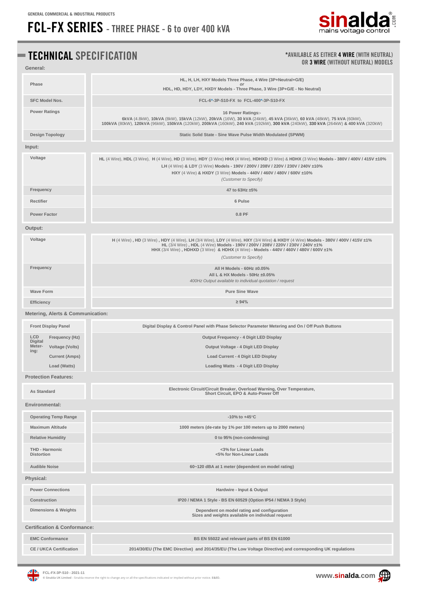**General:** 

## **FCL-FX SERIES - THREE PHASE - 6 to over 400 kVA**



### **TECHNICAL SPECIFICATION**

### **\*AVAILABLE AS EITHER 4 WIRE (WITH NEUTRAL) OR 3 WIRE (WITHOUT NEUTRAL) MODELS**

| Phase                                        | HL, H, LH, HXY Models Three Phase, 4 Wire (3P+Neutral+G/E)<br>HDL, HD, HDY, LDY, HXDY Models - Three Phase, 3 Wire (3P+G/E - No Neutral)                                                                                                                                                                                                   |  |  |  |  |
|----------------------------------------------|--------------------------------------------------------------------------------------------------------------------------------------------------------------------------------------------------------------------------------------------------------------------------------------------------------------------------------------------|--|--|--|--|
| <b>SFC Model Nos.</b>                        | FCL-6*-3P-S10-FX to FCL-400*-3P-S10-FX                                                                                                                                                                                                                                                                                                     |  |  |  |  |
| <b>Power Ratings</b>                         | 16 Power Ratings:-<br>6kVA (4.8kW), 10kVA (8kW), 15kVA (12kW), 20kVA (16W), 30 kVA (24kW), 45 kVA (36kW), 60 kVA (48kW), 75 kVA (60kW),<br>100kVA (80kW), 120kVA (96kW), 150kVA (120kW), 200kVA (160kW), 240 kVA (192kW), 300 kVA (240kW), 330 kVA (264kW) & 400 kVA (320kW)                                                               |  |  |  |  |
| <b>Design Topology</b>                       | Static Solid State - Sine Wave Pulse Width Modulated (SPWM)                                                                                                                                                                                                                                                                                |  |  |  |  |
| Input:                                       |                                                                                                                                                                                                                                                                                                                                            |  |  |  |  |
| Voltage                                      | HL (4 Wire), HDL (3 Wire), H (4 Wire), HD (3 Wire), HDY (3 Wire) HHX (4 Wire), HDHXD (3 Wire) & HDHX (3 Wire) Models - 380V / 400V / 415V ±10%<br>LH (4 Wire) & LDY (3 Wire) Models - 190V / 200V / 208V / 220V / 230V / 240V ±10%<br>HXY (4 Wire) & HXDY (3 Wire) Models - 440V / 460V / 480V / 600V ±10%<br>(Customer to Specify)        |  |  |  |  |
| Frequency                                    | 47 to 63Hz ±5%                                                                                                                                                                                                                                                                                                                             |  |  |  |  |
| Rectifier                                    | 6 Pulse                                                                                                                                                                                                                                                                                                                                    |  |  |  |  |
| <b>Power Factor</b>                          | 0.8 PF                                                                                                                                                                                                                                                                                                                                     |  |  |  |  |
| Output:                                      |                                                                                                                                                                                                                                                                                                                                            |  |  |  |  |
| Voltage                                      | H (4 Wire), HD (3 Wire), HDY (4 Wire), LH (3/4 Wire), LDY (4 Wire), HXY (3/4 Wire) & HXDY (4 Wire) Models - 380V / 400V / 415V ±1%<br>HL (3/4 Wire), HDL (4 Wire) Models - 190V / 200V / 208V / 220V / 230V / 240V ±1%<br>HHX (3/4 Wire), HDHXD (3 Wire) & HDHX (4 Wire) - Models - 440V / 460V / 480V / 600V ±1%<br>(Customer to Specify) |  |  |  |  |
| Frequency                                    | All H Models - $60$ Hz $\pm 0.05\%$<br>All L & HX Models - 50Hz ±0.05%<br>400Hz Output available to individual quotation / request                                                                                                                                                                                                         |  |  |  |  |
| <b>Wave Form</b><br><b>Pure Sine Wave</b>    |                                                                                                                                                                                                                                                                                                                                            |  |  |  |  |
| Efficiency                                   | $\geq 94\%$                                                                                                                                                                                                                                                                                                                                |  |  |  |  |
| <b>Metering, Alerts &amp; Communication:</b> |                                                                                                                                                                                                                                                                                                                                            |  |  |  |  |
| <b>Front Display Panel</b>                   | Digital Display & Control Panel with Phase Selector Parameter Metering and On / Off Push Buttons                                                                                                                                                                                                                                           |  |  |  |  |
| LCD<br>Frequency (Hz)<br><b>Digital</b>      | Output Frequency - 4 Digit LED Display                                                                                                                                                                                                                                                                                                     |  |  |  |  |
| Meter-<br>Voltage (Volts)<br>ing:            | Output Voltage - 4 Digit LED Display                                                                                                                                                                                                                                                                                                       |  |  |  |  |
| <b>Current (Amps)</b>                        | Load Current - 4 Digit LED Display                                                                                                                                                                                                                                                                                                         |  |  |  |  |
| Load (Watts)                                 | Loading Watts - 4 Digit LED Display                                                                                                                                                                                                                                                                                                        |  |  |  |  |
| <b>Protection Features:</b>                  |                                                                                                                                                                                                                                                                                                                                            |  |  |  |  |
| <b>As Standard</b>                           | Electronic Circuit/Circuit Breaker, Overload Warning, Over Temperature,<br>Short Circuit, EPO & Auto-Power Off                                                                                                                                                                                                                             |  |  |  |  |
| Environmental:                               |                                                                                                                                                                                                                                                                                                                                            |  |  |  |  |
| <b>Operating Temp Range</b>                  | $-10\%$ to $+45^{\circ}$ C                                                                                                                                                                                                                                                                                                                 |  |  |  |  |
| <b>Maximum Altitude</b>                      | 1000 meters (de-rate by 1% per 100 meters up to 2000 meters)                                                                                                                                                                                                                                                                               |  |  |  |  |
| <b>Relative Humidity</b>                     | 0 to 95% (non-condensing)                                                                                                                                                                                                                                                                                                                  |  |  |  |  |
| <b>THD - Harmonic</b><br><b>Distortion</b>   | <3% for Linear Loads<br><5% for Non-Linear Loads                                                                                                                                                                                                                                                                                           |  |  |  |  |
| <b>Audible Noise</b>                         | 60~120 dBA at 1 meter (dependent on model rating)                                                                                                                                                                                                                                                                                          |  |  |  |  |
| Physical:                                    |                                                                                                                                                                                                                                                                                                                                            |  |  |  |  |
| <b>Power Connections</b>                     | Hardwire - Input & Output                                                                                                                                                                                                                                                                                                                  |  |  |  |  |
| <b>Construction</b>                          | IP20 / NEMA 1 Style - BS EN 60529 (Option IP54 / NEMA 3 Style)                                                                                                                                                                                                                                                                             |  |  |  |  |
| <b>Dimensions &amp; Weights</b>              | Dependent on model rating and configuration<br>Sizes and weights available on individual request                                                                                                                                                                                                                                           |  |  |  |  |
| <b>Certification &amp; Conformance:</b>      |                                                                                                                                                                                                                                                                                                                                            |  |  |  |  |
| <b>EMC Conformance</b>                       | BS EN 55022 and relevant parts of BS EN 61000                                                                                                                                                                                                                                                                                              |  |  |  |  |
| <b>CE / UKCA Certification</b>               | 2014/30/EU (The EMC Directive) and 2014/35/EU (The Low Voltage Directive) and corresponding UK regulations                                                                                                                                                                                                                                 |  |  |  |  |